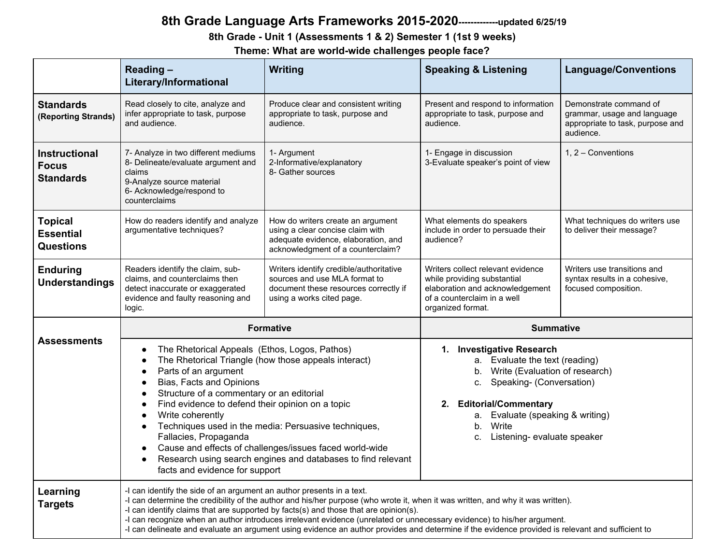# **8th Grade Language Arts Frameworks 2015-2020-------------updated 6/25/19**

### **8th Grade - Unit 1 (Assessments 1 & 2) Semester 1 (1st 9 weeks)**

**Theme: What are world-wide challenges people face?**

|                                                          | <b>Reading-</b><br>Literary/Informational                                                                                                                                                                                                                                                                                                                                                                                                                                   | Writing                                                                                                                                                                                                                                                                                                                                                                                                                                                                                                | <b>Speaking &amp; Listening</b>                                                                                                                                                                                                                              | <b>Language/Conventions</b>                                                                            |
|----------------------------------------------------------|-----------------------------------------------------------------------------------------------------------------------------------------------------------------------------------------------------------------------------------------------------------------------------------------------------------------------------------------------------------------------------------------------------------------------------------------------------------------------------|--------------------------------------------------------------------------------------------------------------------------------------------------------------------------------------------------------------------------------------------------------------------------------------------------------------------------------------------------------------------------------------------------------------------------------------------------------------------------------------------------------|--------------------------------------------------------------------------------------------------------------------------------------------------------------------------------------------------------------------------------------------------------------|--------------------------------------------------------------------------------------------------------|
| <b>Standards</b><br>(Reporting Strands)                  | Read closely to cite, analyze and<br>infer appropriate to task, purpose<br>and audience.                                                                                                                                                                                                                                                                                                                                                                                    | Produce clear and consistent writing<br>appropriate to task, purpose and<br>audience.                                                                                                                                                                                                                                                                                                                                                                                                                  | Present and respond to information<br>appropriate to task, purpose and<br>audience.                                                                                                                                                                          | Demonstrate command of<br>grammar, usage and language<br>appropriate to task, purpose and<br>audience. |
| <b>Instructional</b><br><b>Focus</b><br><b>Standards</b> | 7- Analyze in two different mediums<br>8- Delineate/evaluate argument and<br>claims<br>9-Analyze source material<br>6- Acknowledge/respond to<br>counterclaims                                                                                                                                                                                                                                                                                                              | 1- Argument<br>2-Informative/explanatory<br>8- Gather sources                                                                                                                                                                                                                                                                                                                                                                                                                                          | 1- Engage in discussion<br>3-Evaluate speaker's point of view                                                                                                                                                                                                | 1, 2 - Conventions                                                                                     |
| <b>Topical</b><br><b>Essential</b><br><b>Questions</b>   | How do readers identify and analyze<br>argumentative techniques?                                                                                                                                                                                                                                                                                                                                                                                                            | How do writers create an argument<br>using a clear concise claim with<br>adequate evidence, elaboration, and<br>acknowledgment of a counterclaim?                                                                                                                                                                                                                                                                                                                                                      | What elements do speakers<br>include in order to persuade their<br>audience?                                                                                                                                                                                 | What techniques do writers use<br>to deliver their message?                                            |
| <b>Enduring</b><br><b>Understandings</b>                 | Readers identify the claim, sub-<br>claims, and counterclaims then<br>detect inaccurate or exaggerated<br>evidence and faulty reasoning and<br>logic.                                                                                                                                                                                                                                                                                                                       | Writers identify credible/authoritative<br>sources and use MLA format to<br>document these resources correctly if<br>using a works cited page.                                                                                                                                                                                                                                                                                                                                                         | Writers collect relevant evidence<br>while providing substantial<br>elaboration and acknowledgement<br>of a counterclaim in a well<br>organized format.                                                                                                      | Writers use transitions and<br>syntax results in a cohesive,<br>focused composition.                   |
|                                                          |                                                                                                                                                                                                                                                                                                                                                                                                                                                                             | <b>Formative</b>                                                                                                                                                                                                                                                                                                                                                                                                                                                                                       | <b>Summative</b>                                                                                                                                                                                                                                             |                                                                                                        |
| <b>Assessments</b>                                       | The Rhetorical Appeals (Ethos, Logos, Pathos)<br>$\bullet$<br>The Rhetorical Triangle (how those appeals interact)<br>$\bullet$<br>Parts of an argument<br>$\bullet$<br>Bias, Facts and Opinions<br>$\bullet$<br>Structure of a commentary or an editorial<br>$\bullet$<br>Find evidence to defend their opinion on a topic<br>$\bullet$<br>Write coherently<br>$\bullet$<br>$\bullet$<br>Fallacies, Propaganda<br>$\bullet$<br>$\bullet$<br>facts and evidence for support | Techniques used in the media: Persuasive techniques,<br>Cause and effects of challenges/issues faced world-wide<br>Research using search engines and databases to find relevant                                                                                                                                                                                                                                                                                                                        | 1. Investigative Research<br>a. Evaluate the text (reading)<br>b. Write (Evaluation of research)<br>c. Speaking- (Conversation)<br><b>Editorial/Commentary</b><br>2.<br>a. Evaluate (speaking & writing)<br>Write<br>b.<br>Listening- evaluate speaker<br>C. |                                                                                                        |
| Learning<br><b>Targets</b>                               | -I can identify the side of an argument an author presents in a text.                                                                                                                                                                                                                                                                                                                                                                                                       | -I can determine the credibility of the author and his/her purpose (who wrote it, when it was written, and why it was written).<br>-I can identify claims that are supported by facts(s) and those that are opinion(s).<br>-I can recognize when an author introduces irrelevant evidence (unrelated or unnecessary evidence) to his/her argument.<br>-I can delineate and evaluate an argument using evidence an author provides and determine if the evidence provided is relevant and sufficient to |                                                                                                                                                                                                                                                              |                                                                                                        |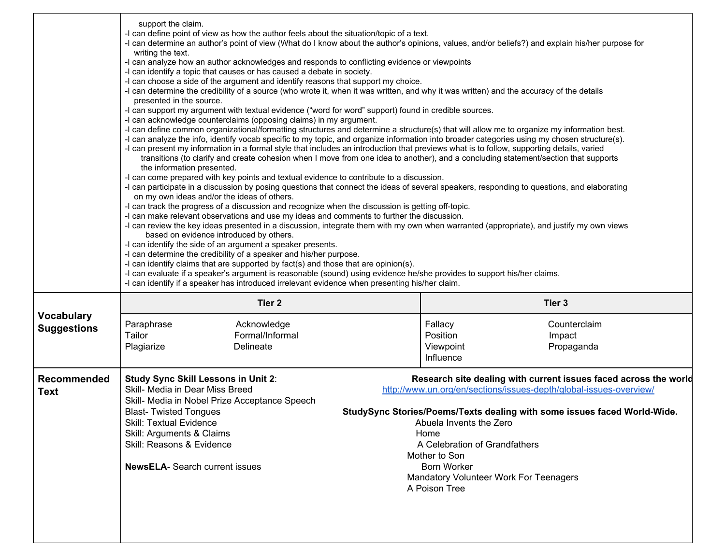|                                         | support the claim.<br>-I can define point of view as how the author feels about the situation/topic of a text.<br>-I can determine an author's point of view (What do I know about the author's opinions, values, and/or beliefs?) and explain his/her purpose for<br>writing the text.<br>-I can analyze how an author acknowledges and responds to conflicting evidence or viewpoints<br>-I can identify a topic that causes or has caused a debate in society.<br>-I can choose a side of the argument and identify reasons that support my choice.<br>-I can determine the credibility of a source (who wrote it, when it was written, and why it was written) and the accuracy of the details<br>presented in the source.<br>-I can support my argument with textual evidence ("word for word" support) found in credible sources.<br>-I can acknowledge counterclaims (opposing claims) in my argument.<br>-I can define common organizational/formatting structures and determine a structure(s) that will allow me to organize my information best.<br>-I can analyze the info, identify vocab specific to my topic, and organize information into broader categories using my chosen structure(s).<br>-I can present my information in a formal style that includes an introduction that previews what is to follow, supporting details, varied<br>transitions (to clarify and create cohesion when I move from one idea to another), and a concluding statement/section that supports<br>the information presented.<br>-I can come prepared with key points and textual evidence to contribute to a discussion.<br>-I can participate in a discussion by posing questions that connect the ideas of several speakers, responding to questions, and elaborating<br>on my own ideas and/or the ideas of others.<br>-I can track the progress of a discussion and recognize when the discussion is getting off-topic.<br>-I can make relevant observations and use my ideas and comments to further the discussion.<br>-I can review the key ideas presented in a discussion, integrate them with my own when warranted (appropriate), and justify my own views<br>based on evidence introduced by others.<br>-I can identify the side of an argument a speaker presents.<br>-I can determine the credibility of a speaker and his/her purpose.<br>-I can identify claims that are supported by fact(s) and those that are opinion(s).<br>-I can evaluate if a speaker's argument is reasonable (sound) using evidence he/she provides to support his/her claims.<br>-I can identify if a speaker has introduced irrelevant evidence when presenting his/her claim. |  |                                    |                                   |  |
|-----------------------------------------|----------------------------------------------------------------------------------------------------------------------------------------------------------------------------------------------------------------------------------------------------------------------------------------------------------------------------------------------------------------------------------------------------------------------------------------------------------------------------------------------------------------------------------------------------------------------------------------------------------------------------------------------------------------------------------------------------------------------------------------------------------------------------------------------------------------------------------------------------------------------------------------------------------------------------------------------------------------------------------------------------------------------------------------------------------------------------------------------------------------------------------------------------------------------------------------------------------------------------------------------------------------------------------------------------------------------------------------------------------------------------------------------------------------------------------------------------------------------------------------------------------------------------------------------------------------------------------------------------------------------------------------------------------------------------------------------------------------------------------------------------------------------------------------------------------------------------------------------------------------------------------------------------------------------------------------------------------------------------------------------------------------------------------------------------------------------------------------------------------------------------------------------------------------------------------------------------------------------------------------------------------------------------------------------------------------------------------------------------------------------------------------------------------------------------------------------------------------------------------------------------------------------------------------------------------------------------------------------------------------------------------------------------------------------------|--|------------------------------------|-----------------------------------|--|
| <b>Vocabulary</b><br><b>Suggestions</b> | Tier <sub>2</sub><br>Paraphrase<br>Acknowledge                                                                                                                                                                                                                                                                                                                                                                                                                                                                                                                                                                                                                                                                                                                                                                                                                                                                                                                                                                                                                                                                                                                                                                                                                                                                                                                                                                                                                                                                                                                                                                                                                                                                                                                                                                                                                                                                                                                                                                                                                                                                                                                                                                                                                                                                                                                                                                                                                                                                                                                                                                                                                             |  | Fallacy                            | Tier <sub>3</sub><br>Counterclaim |  |
|                                         | Tailor<br>Formal/Informal<br>Plagiarize<br>Delineate                                                                                                                                                                                                                                                                                                                                                                                                                                                                                                                                                                                                                                                                                                                                                                                                                                                                                                                                                                                                                                                                                                                                                                                                                                                                                                                                                                                                                                                                                                                                                                                                                                                                                                                                                                                                                                                                                                                                                                                                                                                                                                                                                                                                                                                                                                                                                                                                                                                                                                                                                                                                                       |  | Position<br>Viewpoint<br>Influence | Impact<br>Propaganda              |  |
| <b>Recommended</b><br>Text              | Research site dealing with current issues faced across the world<br><b>Study Sync Skill Lessons in Unit 2:</b><br>Skill- Media in Dear Miss Breed<br>http://www.un.org/en/sections/issues-depth/global-issues-overview/<br>Skill- Media in Nobel Prize Acceptance Speech<br>StudySync Stories/Poems/Texts dealing with some issues faced World-Wide.<br><b>Blast-Twisted Tongues</b><br><b>Skill: Textual Evidence</b><br>Abuela Invents the Zero<br>Skill: Arguments & Claims<br>Home<br>Skill: Reasons & Evidence<br>A Celebration of Grandfathers<br>Mother to Son<br><b>NewsELA- Search current issues</b><br><b>Born Worker</b><br>Mandatory Volunteer Work For Teenagers<br>A Poison Tree                                                                                                                                                                                                                                                                                                                                                                                                                                                                                                                                                                                                                                                                                                                                                                                                                                                                                                                                                                                                                                                                                                                                                                                                                                                                                                                                                                                                                                                                                                                                                                                                                                                                                                                                                                                                                                                                                                                                                                            |  |                                    |                                   |  |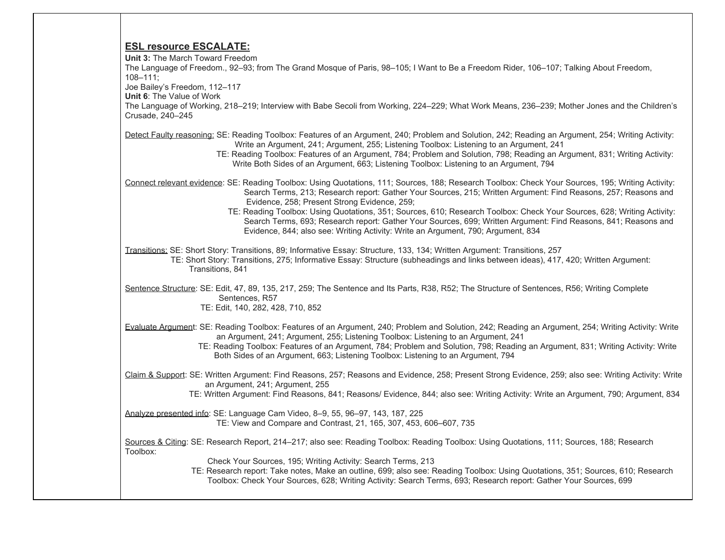#### **ESL resource ESCALATE:**

**Unit 3:** The March Toward Freedom The Language of Freedom., 92–93; from The Grand Mosque of Paris, 98–105; I Want to Be a Freedom Rider, 106–107; Talking About Freedom, 108–111; Joe Bailey's Freedom, 112–117 **Unit 6**: The Value of Work The Language of Working, 218–219; Interview with Babe Secoli from Working, 224–229; What Work Means, 236–239; Mother Jones and the Children's Crusade, 240–245 Detect Faulty reasoning: SE: Reading Toolbox: Features of an Argument, 240; Problem and Solution, 242; Reading an Argument, 254; Writing Activity: Write an Argument, 241; Argument, 255; Listening Toolbox: Listening to an Argument, 241 TE: Reading Toolbox: Features of an Argument, 784; Problem and Solution, 798; Reading an Argument, 831; Writing Activity: Write Both Sides of an Argument, 663; Listening Toolbox: Listening to an Argument, 794 Connect relevant evidence: SE: Reading Toolbox: Using Quotations, 111; Sources, 188; Research Toolbox: Check Your Sources, 195; Writing Activity: Search Terms, 213; Research report: Gather Your Sources, 215; Written Argument: Find Reasons, 257; Reasons and Evidence, 258; Present Strong Evidence, 259; TE: Reading Toolbox: Using Quotations, 351; Sources, 610; Research Toolbox: Check Your Sources, 628; Writing Activity: Search Terms, 693; Research report: Gather Your Sources, 699; Written Argument: Find Reasons, 841; Reasons and Evidence, 844; also see: Writing Activity: Write an Argument, 790; Argument, 834 Transitions: SE: Short Story: Transitions, 89; Informative Essay: Structure, 133, 134; Written Argument: Transitions, 257 TE: Short Story: Transitions, 275; Informative Essay: Structure (subheadings and links between ideas), 417, 420; Written Argument: Transitions, 841 Sentence Structure: SE: Edit, 47, 89, 135, 217, 259; The Sentence and Its Parts, R38, R52; The Structure of Sentences, R56; Writing Complete Sentences, R57 TE: Edit, 140, 282, 428, 710, 852 Evaluate Argument: SE: Reading Toolbox: Features of an Argument, 240; Problem and Solution, 242; Reading an Argument, 254; Writing Activity: Write an Argument, 241; Argument, 255; Listening Toolbox: Listening to an Argument, 241 TE: Reading Toolbox: Features of an Argument, 784; Problem and Solution, 798; Reading an Argument, 831; Writing Activity: Write Both Sides of an Argument, 663; Listening Toolbox: Listening to an Argument, 794 Claim & Support: SE: Written Argument: Find Reasons, 257; Reasons and Evidence, 258; Present Strong Evidence, 259; also see: Writing Activity: Write an Argument, 241; Argument, 255 TE: Written Argument: Find Reasons, 841; Reasons/ Evidence, 844; also see: Writing Activity: Write an Argument, 790; Argument, 834 Analyze presented info: SE: Language Cam Video, 8–9, 55, 96–97, 143, 187, 225 TE: View and Compare and Contrast, 21, 165, 307, 453, 606–607, 735 Sources & Citing: SE: Research Report, 214–217; also see: Reading Toolbox: Reading Toolbox: Using Quotations, 111; Sources, 188; Research Toolbox: Check Your Sources, 195; Writing Activity: Search Terms, 213 TE: Research report: Take notes, Make an outline, 699; also see: Reading Toolbox: Using Quotations, 351; Sources, 610; Research

Toolbox: Check Your Sources, 628; Writing Activity: Search Terms, 693; Research report: Gather Your Sources, 699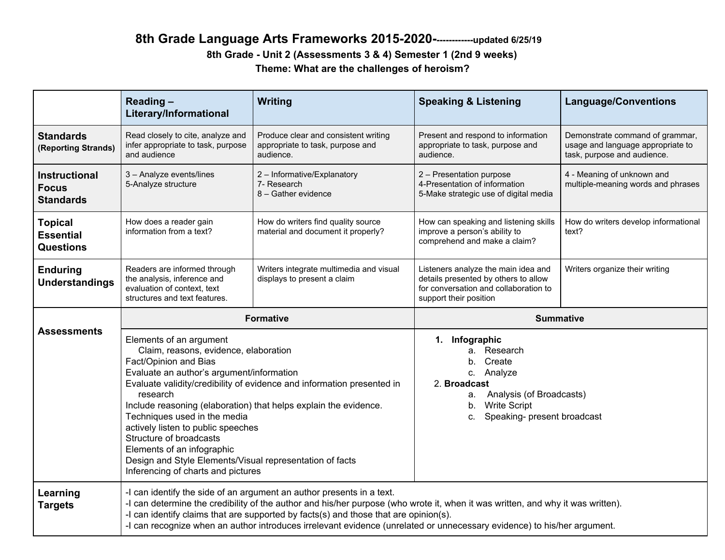## **8th Grade Language Arts Frameworks 2015-2020-------------updated 6/25/19 8th Grade - Unit 2 (Assessments 3 & 4) Semester 1 (2nd 9 weeks) Theme: What are the challenges of heroism?**

|                                                          | Reading-<br>Literary/Informational                                                                                                                                                                                                                                                                                                                                                                                                                                                                                                | Writing                                                                               | <b>Speaking &amp; Listening</b>                                                                                                                                                 | <b>Language/Conventions</b>                                                                         |
|----------------------------------------------------------|-----------------------------------------------------------------------------------------------------------------------------------------------------------------------------------------------------------------------------------------------------------------------------------------------------------------------------------------------------------------------------------------------------------------------------------------------------------------------------------------------------------------------------------|---------------------------------------------------------------------------------------|---------------------------------------------------------------------------------------------------------------------------------------------------------------------------------|-----------------------------------------------------------------------------------------------------|
| <b>Standards</b><br>(Reporting Strands)                  | Read closely to cite, analyze and<br>infer appropriate to task, purpose<br>and audience                                                                                                                                                                                                                                                                                                                                                                                                                                           | Produce clear and consistent writing<br>appropriate to task, purpose and<br>audience. | Present and respond to information<br>appropriate to task, purpose and<br>audience.                                                                                             | Demonstrate command of grammar,<br>usage and language appropriate to<br>task, purpose and audience. |
| <b>Instructional</b><br><b>Focus</b><br><b>Standards</b> | 3 - Analyze events/lines<br>5-Analyze structure                                                                                                                                                                                                                                                                                                                                                                                                                                                                                   | 2 - Informative/Explanatory<br>7- Research<br>8 - Gather evidence                     | 2 - Presentation purpose<br>4-Presentation of information<br>5-Make strategic use of digital media                                                                              | 4 - Meaning of unknown and<br>multiple-meaning words and phrases                                    |
| <b>Topical</b><br><b>Essential</b><br><b>Questions</b>   | How does a reader gain<br>information from a text?                                                                                                                                                                                                                                                                                                                                                                                                                                                                                | How do writers find quality source<br>material and document it properly?              | How can speaking and listening skills<br>improve a person's ability to<br>comprehend and make a claim?                                                                          | How do writers develop informational<br>text?                                                       |
| <b>Enduring</b><br><b>Understandings</b>                 | Readers are informed through<br>the analysis, inference and<br>evaluation of context, text<br>structures and text features.                                                                                                                                                                                                                                                                                                                                                                                                       | Writers integrate multimedia and visual<br>displays to present a claim                | Listeners analyze the main idea and<br>details presented by others to allow<br>for conversation and collaboration to<br>support their position                                  | Writers organize their writing                                                                      |
|                                                          |                                                                                                                                                                                                                                                                                                                                                                                                                                                                                                                                   | <b>Formative</b>                                                                      |                                                                                                                                                                                 | <b>Summative</b>                                                                                    |
| <b>Assessments</b>                                       | Elements of an argument<br>Claim, reasons, evidence, elaboration<br>Fact/Opinion and Bias<br>Evaluate an author's argument/information<br>Evaluate validity/credibility of evidence and information presented in<br>research<br>Include reasoning (elaboration) that helps explain the evidence.<br>Techniques used in the media<br>actively listen to public speeches<br>Structure of broadcasts<br>Elements of an infographic<br>Design and Style Elements/Visual representation of facts<br>Inferencing of charts and pictures |                                                                                       | 1. Infographic<br>a. Research<br>Create<br>b.<br>c. Analyze<br>2. Broadcast<br>Analysis (of Broadcasts)<br>а.<br><b>Write Script</b><br>b.<br>Speaking- present broadcast<br>C. |                                                                                                     |
| Learning<br><b>Targets</b>                               | -I can identify the side of an argument an author presents in a text.<br>-I can determine the credibility of the author and his/her purpose (who wrote it, when it was written, and why it was written).<br>-I can identify claims that are supported by facts(s) and those that are opinion(s).<br>-I can recognize when an author introduces irrelevant evidence (unrelated or unnecessary evidence) to his/her argument.                                                                                                       |                                                                                       |                                                                                                                                                                                 |                                                                                                     |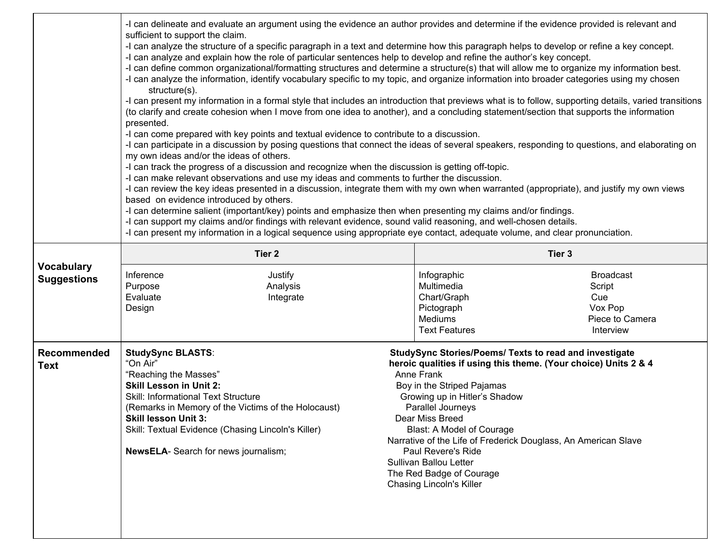|                                         | -I can delineate and evaluate an argument using the evidence an author provides and determine if the evidence provided is relevant and<br>sufficient to support the claim.<br>-I can analyze the structure of a specific paragraph in a text and determine how this paragraph helps to develop or refine a key concept.<br>-I can analyze and explain how the role of particular sentences help to develop and refine the author's key concept.<br>-I can define common organizational/formatting structures and determine a structure(s) that will allow me to organize my information best.<br>-I can analyze the information, identify vocabulary specific to my topic, and organize information into broader categories using my chosen<br>structure(s).<br>-I can present my information in a formal style that includes an introduction that previews what is to follow, supporting details, varied transitions<br>(to clarify and create cohesion when I move from one idea to another), and a concluding statement/section that supports the information<br>presented.<br>-I can come prepared with key points and textual evidence to contribute to a discussion.<br>-I can participate in a discussion by posing questions that connect the ideas of several speakers, responding to questions, and elaborating on<br>my own ideas and/or the ideas of others.<br>-I can track the progress of a discussion and recognize when the discussion is getting off-topic.<br>-I can make relevant observations and use my ideas and comments to further the discussion.<br>-I can review the key ideas presented in a discussion, integrate them with my own when warranted (appropriate), and justify my own views<br>based on evidence introduced by others.<br>-I can determine salient (important/key) points and emphasize then when presenting my claims and/or findings.<br>-I can support my claims and/or findings with relevant evidence, sound valid reasoning, and well-chosen details.<br>-I can present my information in a logical sequence using appropriate eye contact, adequate volume, and clear pronunciation. |  |                                                                                                                                                                                                                                                        |                                                                                                                                                                                             |
|-----------------------------------------|-----------------------------------------------------------------------------------------------------------------------------------------------------------------------------------------------------------------------------------------------------------------------------------------------------------------------------------------------------------------------------------------------------------------------------------------------------------------------------------------------------------------------------------------------------------------------------------------------------------------------------------------------------------------------------------------------------------------------------------------------------------------------------------------------------------------------------------------------------------------------------------------------------------------------------------------------------------------------------------------------------------------------------------------------------------------------------------------------------------------------------------------------------------------------------------------------------------------------------------------------------------------------------------------------------------------------------------------------------------------------------------------------------------------------------------------------------------------------------------------------------------------------------------------------------------------------------------------------------------------------------------------------------------------------------------------------------------------------------------------------------------------------------------------------------------------------------------------------------------------------------------------------------------------------------------------------------------------------------------------------------------------------------------------------------------------------------------------------------------------------------------------|--|--------------------------------------------------------------------------------------------------------------------------------------------------------------------------------------------------------------------------------------------------------|---------------------------------------------------------------------------------------------------------------------------------------------------------------------------------------------|
|                                         | Tier <sub>2</sub>                                                                                                                                                                                                                                                                                                                                                                                                                                                                                                                                                                                                                                                                                                                                                                                                                                                                                                                                                                                                                                                                                                                                                                                                                                                                                                                                                                                                                                                                                                                                                                                                                                                                                                                                                                                                                                                                                                                                                                                                                                                                                                                       |  | Tier 3                                                                                                                                                                                                                                                 |                                                                                                                                                                                             |
| <b>Vocabulary</b><br><b>Suggestions</b> | Inference<br>Justify<br>Purpose<br>Analysis<br>Evaluate<br>Integrate<br>Design                                                                                                                                                                                                                                                                                                                                                                                                                                                                                                                                                                                                                                                                                                                                                                                                                                                                                                                                                                                                                                                                                                                                                                                                                                                                                                                                                                                                                                                                                                                                                                                                                                                                                                                                                                                                                                                                                                                                                                                                                                                          |  | Infographic<br>Multimedia<br>Chart/Graph<br>Pictograph<br><b>Mediums</b><br><b>Text Features</b>                                                                                                                                                       | <b>Broadcast</b><br>Script<br>Cue<br>Vox Pop<br>Piece to Camera<br>Interview                                                                                                                |
| <b>Recommended</b><br>Text              | <b>StudySync BLASTS:</b><br>"On Air"<br>"Reaching the Masses"<br><b>Skill Lesson in Unit 2:</b><br>Skill: Informational Text Structure<br>(Remarks in Memory of the Victims of the Holocaust)<br><b>Skill lesson Unit 3:</b><br>Skill: Textual Evidence (Chasing Lincoln's Killer)<br>NewsELA- Search for news journalism;                                                                                                                                                                                                                                                                                                                                                                                                                                                                                                                                                                                                                                                                                                                                                                                                                                                                                                                                                                                                                                                                                                                                                                                                                                                                                                                                                                                                                                                                                                                                                                                                                                                                                                                                                                                                              |  | Anne Frank<br>Boy in the Striped Pajamas<br>Growing up in Hitler's Shadow<br>Parallel Journeys<br>Dear Miss Breed<br>Blast: A Model of Courage<br>Paul Revere's Ride<br>Sullivan Ballou Letter<br>The Red Badge of Courage<br>Chasing Lincoln's Killer | StudySync Stories/Poems/ Texts to read and investigate<br>heroic qualities if using this theme. (Your choice) Units 2 & 4<br>Narrative of the Life of Frederick Douglass, An American Slave |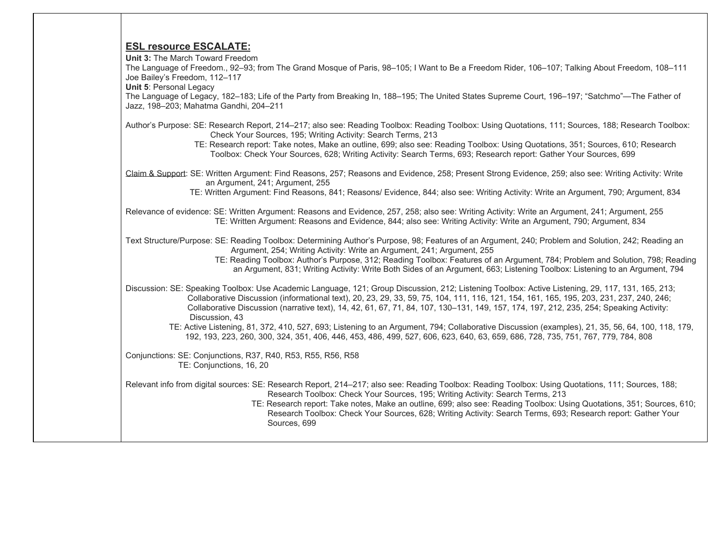#### **ESL resource ESCALATE:**

**Unit 3:** The March Toward Freedom

The Language of Freedom., 92–93; from The Grand Mosque of Paris, 98–105; I Want to Be a Freedom Rider, 106–107; Talking About Freedom, 108–111 Joe Bailey's Freedom, 112–117

**Unit 5**: Personal Legacy

The Language of Legacy, 182–183; Life of the Party from Breaking In, 188–195; The United States Supreme Court, 196–197; "Satchmo"—The Father of Jazz, 198–203; Mahatma Gandhi, 204–211

- Author's Purpose: SE: Research Report, 214–217; also see: Reading Toolbox: Reading Toolbox: Using Quotations, 111; Sources, 188; Research Toolbox: Check Your Sources, 195; Writing Activity: Search Terms, 213
	- TE: Research report: Take notes, Make an outline, 699; also see: Reading Toolbox: Using Quotations, 351; Sources, 610; Research Toolbox: Check Your Sources, 628; Writing Activity: Search Terms, 693; Research report: Gather Your Sources, 699
- Claim & Support: SE: Written Argument: Find Reasons, 257; Reasons and Evidence, 258; Present Strong Evidence, 259; also see: Writing Activity: Write an Argument, 241; Argument, 255

TE: Written Argument: Find Reasons, 841; Reasons/ Evidence, 844; also see: Writing Activity: Write an Argument, 790; Argument, 834

Relevance of evidence: SE: Written Argument: Reasons and Evidence, 257, 258; also see: Writing Activity: Write an Argument, 241; Argument, 255 TE: Written Argument: Reasons and Evidence, 844; also see: Writing Activity: Write an Argument, 790; Argument, 834

Text Structure/Purpose: SE: Reading Toolbox: Determining Author's Purpose, 98; Features of an Argument, 240; Problem and Solution, 242; Reading an Argument, 254; Writing Activity: Write an Argument, 241; Argument, 255

 TE: Reading Toolbox: Author's Purpose, 312; Reading Toolbox: Features of an Argument, 784; Problem and Solution, 798; Reading an Argument, 831; Writing Activity: Write Both Sides of an Argument, 663; Listening Toolbox: Listening to an Argument, 794

Discussion: SE: Speaking Toolbox: Use Academic Language, 121; Group Discussion, 212; Listening Toolbox: Active Listening, 29, 117, 131, 165, 213; Collaborative Discussion (informational text), 20, 23, 29, 33, 59, 75, 104, 111, 116, 121, 154, 161, 165, 195, 203, 231, 237, 240, 246; Collaborative Discussion (narrative text), 14, 42, 61, 67, 71, 84, 107, 130–131, 149, 157, 174, 197, 212, 235, 254; Speaking Activity: Discussion, 43

 TE: Active Listening, 81, 372, 410, 527, 693; Listening to an Argument, 794; Collaborative Discussion (examples), 21, 35, 56, 64, 100, 118, 179, 192, 193, 223, 260, 300, 324, 351, 406, 446, 453, 486, 499, 527, 606, 623, 640, 63, 659, 686, 728, 735, 751, 767, 779, 784, 808

Conjunctions: SE: Conjunctions, R37, R40, R53, R55, R56, R58 TE: Conjunctions, 16, 20

Relevant info from digital sources: SE: Research Report, 214–217; also see: Reading Toolbox: Reading Toolbox: Using Quotations, 111; Sources, 188; Research Toolbox: Check Your Sources, 195; Writing Activity: Search Terms, 213

 TE: Research report: Take notes, Make an outline, 699; also see: Reading Toolbox: Using Quotations, 351; Sources, 610; Research Toolbox: Check Your Sources, 628; Writing Activity: Search Terms, 693; Research report: Gather Your Sources, 699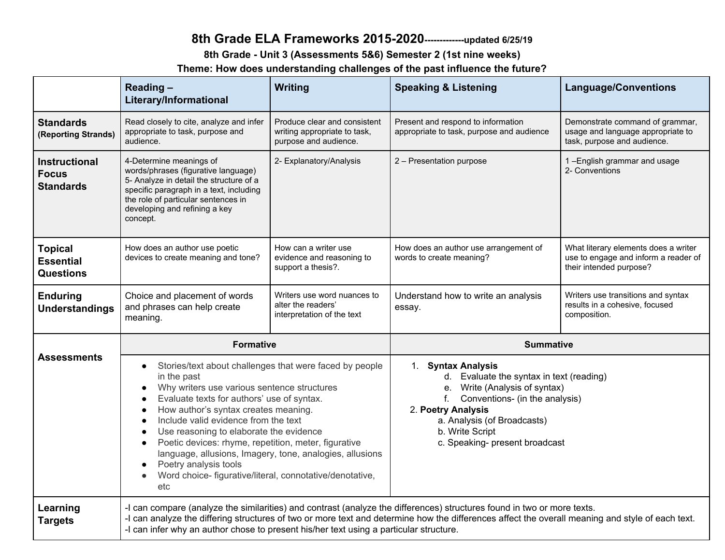## **8th Grade ELA Frameworks 2015-2020-------------updated 6/25/19**

**8th Grade - Unit 3 (Assessments 5&6) Semester 2 (1st nine weeks)**

**Theme: How does understanding challenges of the past influence the future?**

|                                                          | Reading-<br>Literary/Informational                                                                                                                                                                                                                                                                                                                                                                                                                                                                                                                    | <b>Writing</b>                                                                        | <b>Speaking &amp; Listening</b>                                                                                                                                                                                                                      | <b>Language/Conventions</b>                                                                             |  |
|----------------------------------------------------------|-------------------------------------------------------------------------------------------------------------------------------------------------------------------------------------------------------------------------------------------------------------------------------------------------------------------------------------------------------------------------------------------------------------------------------------------------------------------------------------------------------------------------------------------------------|---------------------------------------------------------------------------------------|------------------------------------------------------------------------------------------------------------------------------------------------------------------------------------------------------------------------------------------------------|---------------------------------------------------------------------------------------------------------|--|
| <b>Standards</b><br>(Reporting Strands)                  | Read closely to cite, analyze and infer<br>appropriate to task, purpose and<br>audience.                                                                                                                                                                                                                                                                                                                                                                                                                                                              | Produce clear and consistent<br>writing appropriate to task,<br>purpose and audience. | Present and respond to information<br>appropriate to task, purpose and audience                                                                                                                                                                      | Demonstrate command of grammar,<br>usage and language appropriate to<br>task, purpose and audience.     |  |
| <b>Instructional</b><br><b>Focus</b><br><b>Standards</b> | 4-Determine meanings of<br>words/phrases (figurative language)<br>5- Analyze in detail the structure of a<br>specific paragraph in a text, including<br>the role of particular sentences in<br>developing and refining a key<br>concept.                                                                                                                                                                                                                                                                                                              | 2- Explanatory/Analysis                                                               | 2 - Presentation purpose                                                                                                                                                                                                                             | 1-English grammar and usage<br>2- Conventions                                                           |  |
| <b>Topical</b><br><b>Essential</b><br><b>Questions</b>   | How does an author use poetic<br>devices to create meaning and tone?                                                                                                                                                                                                                                                                                                                                                                                                                                                                                  | How can a writer use<br>evidence and reasoning to<br>support a thesis?.               | How does an author use arrangement of<br>words to create meaning?                                                                                                                                                                                    | What literary elements does a writer<br>use to engage and inform a reader of<br>their intended purpose? |  |
| <b>Enduring</b><br><b>Understandings</b>                 | Choice and placement of words<br>and phrases can help create<br>meaning.                                                                                                                                                                                                                                                                                                                                                                                                                                                                              | Writers use word nuances to<br>alter the readers'<br>interpretation of the text       | Understand how to write an analysis<br>essay.                                                                                                                                                                                                        | Writers use transitions and syntax<br>results in a cohesive, focused<br>composition.                    |  |
|                                                          | <b>Formative</b>                                                                                                                                                                                                                                                                                                                                                                                                                                                                                                                                      |                                                                                       | <b>Summative</b>                                                                                                                                                                                                                                     |                                                                                                         |  |
| <b>Assessments</b>                                       | Stories/text about challenges that were faced by people<br>$\bullet$<br>in the past<br>Why writers use various sentence structures<br>$\bullet$<br>Evaluate texts for authors' use of syntax.<br>How author's syntax creates meaning.<br>Include valid evidence from the text<br>Use reasoning to elaborate the evidence<br>Poetic devices: rhyme, repetition, meter, figurative<br>$\bullet$<br>language, allusions, Imagery, tone, analogies, allusions<br>Poetry analysis tools<br>Word choice- figurative/literal, connotative/denotative,<br>etc |                                                                                       | 1. Syntax Analysis<br>d. Evaluate the syntax in text (reading)<br>Write (Analysis of syntax)<br>e.<br>f.<br>Conventions- (in the analysis)<br>2. Poetry Analysis<br>a. Analysis (of Broadcasts)<br>b. Write Script<br>c. Speaking- present broadcast |                                                                                                         |  |
| Learning<br><b>Targets</b>                               | -I can compare (analyze the similarities) and contrast (analyze the differences) structures found in two or more texts.<br>-I can analyze the differing structures of two or more text and determine how the differences affect the overall meaning and style of each text.<br>-I can infer why an author chose to present his/her text using a particular structure.                                                                                                                                                                                 |                                                                                       |                                                                                                                                                                                                                                                      |                                                                                                         |  |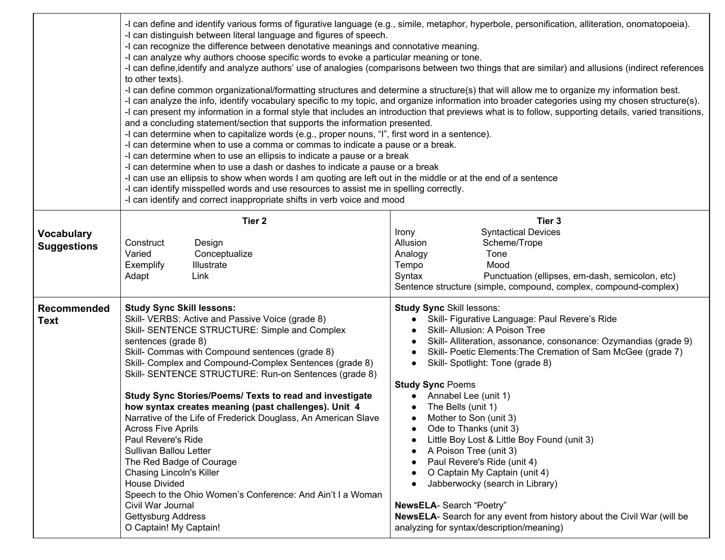|                    | -I can distinguish between literal language and figures of speech.<br>-I can recognize the difference between denotative meanings and connotative meaning.<br>-I can analyze why authors choose specific words to evoke a particular meaning or tone.<br>to other texts).<br>and a concluding statement/section that supports the information presented.<br>-I can determine when to capitalize words (e.g., proper nouns, "I", first word in a sentence).<br>-I can determine when to use a comma or commas to indicate a pause or a break.<br>-I can determine when to use an ellipsis to indicate a pause or a break<br>-I can determine when to use a dash or dashes to indicate a pause or a break<br>-I can use an ellipsis to show when words I am quoting are left out in the middle or at the end of a sentence<br>-I can identify misspelled words and use resources to assist me in spelling correctly.<br>-I can identify and correct inappropriate shifts in verb voice and mood | -I can define and identify various forms of figurative language (e.g., simile, metaphor, hyperbole, personification, alliteration, onomatopoeia).<br>-I can define, identify and analyze authors' use of analogies (comparisons between two things that are similar) and allusions (indirect references<br>-I can define common organizational/formatting structures and determine a structure(s) that will allow me to organize my information best.<br>-I can analyze the info, identify vocabulary specific to my topic, and organize information into broader categories using my chosen structure(s).<br>-I can present my information in a formal style that includes an introduction that previews what is to follow, supporting details, varied transitions, |
|--------------------|-----------------------------------------------------------------------------------------------------------------------------------------------------------------------------------------------------------------------------------------------------------------------------------------------------------------------------------------------------------------------------------------------------------------------------------------------------------------------------------------------------------------------------------------------------------------------------------------------------------------------------------------------------------------------------------------------------------------------------------------------------------------------------------------------------------------------------------------------------------------------------------------------------------------------------------------------------------------------------------------------|----------------------------------------------------------------------------------------------------------------------------------------------------------------------------------------------------------------------------------------------------------------------------------------------------------------------------------------------------------------------------------------------------------------------------------------------------------------------------------------------------------------------------------------------------------------------------------------------------------------------------------------------------------------------------------------------------------------------------------------------------------------------|
|                    | Tier <sub>2</sub>                                                                                                                                                                                                                                                                                                                                                                                                                                                                                                                                                                                                                                                                                                                                                                                                                                                                                                                                                                             | Tier 3<br><b>Syntactical Devices</b><br>Irony                                                                                                                                                                                                                                                                                                                                                                                                                                                                                                                                                                                                                                                                                                                        |
| <b>Vocabulary</b>  | Construct<br>Design                                                                                                                                                                                                                                                                                                                                                                                                                                                                                                                                                                                                                                                                                                                                                                                                                                                                                                                                                                           | Allusion<br>Scheme/Trope                                                                                                                                                                                                                                                                                                                                                                                                                                                                                                                                                                                                                                                                                                                                             |
| <b>Suggestions</b> | Varied<br>Conceptualize                                                                                                                                                                                                                                                                                                                                                                                                                                                                                                                                                                                                                                                                                                                                                                                                                                                                                                                                                                       | Analogy<br>Tone                                                                                                                                                                                                                                                                                                                                                                                                                                                                                                                                                                                                                                                                                                                                                      |
|                    | Illustrate<br>Exemplify                                                                                                                                                                                                                                                                                                                                                                                                                                                                                                                                                                                                                                                                                                                                                                                                                                                                                                                                                                       | Tempo<br>Mood                                                                                                                                                                                                                                                                                                                                                                                                                                                                                                                                                                                                                                                                                                                                                        |
|                    | Adapt<br>Link                                                                                                                                                                                                                                                                                                                                                                                                                                                                                                                                                                                                                                                                                                                                                                                                                                                                                                                                                                                 | Punctuation (ellipses, em-dash, semicolon, etc)<br>Syntax                                                                                                                                                                                                                                                                                                                                                                                                                                                                                                                                                                                                                                                                                                            |
|                    |                                                                                                                                                                                                                                                                                                                                                                                                                                                                                                                                                                                                                                                                                                                                                                                                                                                                                                                                                                                               | Sentence structure (simple, compound, complex, compound-complex)                                                                                                                                                                                                                                                                                                                                                                                                                                                                                                                                                                                                                                                                                                     |
| Recommended        | <b>Study Sync Skill lessons:</b>                                                                                                                                                                                                                                                                                                                                                                                                                                                                                                                                                                                                                                                                                                                                                                                                                                                                                                                                                              | <b>Study Sync Skill lessons:</b>                                                                                                                                                                                                                                                                                                                                                                                                                                                                                                                                                                                                                                                                                                                                     |
| <b>Text</b>        | Skill- VERBS: Active and Passive Voice (grade 8)                                                                                                                                                                                                                                                                                                                                                                                                                                                                                                                                                                                                                                                                                                                                                                                                                                                                                                                                              | Skill- Figurative Language: Paul Revere's Ride                                                                                                                                                                                                                                                                                                                                                                                                                                                                                                                                                                                                                                                                                                                       |
|                    | Skill- SENTENCE STRUCTURE: Simple and Complex                                                                                                                                                                                                                                                                                                                                                                                                                                                                                                                                                                                                                                                                                                                                                                                                                                                                                                                                                 | Skill- Allusion: A Poison Tree                                                                                                                                                                                                                                                                                                                                                                                                                                                                                                                                                                                                                                                                                                                                       |
|                    | sentences (grade 8)                                                                                                                                                                                                                                                                                                                                                                                                                                                                                                                                                                                                                                                                                                                                                                                                                                                                                                                                                                           | Skill- Alliteration, assonance, consonance: Ozymandias (grade 9)                                                                                                                                                                                                                                                                                                                                                                                                                                                                                                                                                                                                                                                                                                     |
|                    | Skill- Commas with Compound sentences (grade 8)<br>Skill- Complex and Compound-Complex Sentences (grade 8)                                                                                                                                                                                                                                                                                                                                                                                                                                                                                                                                                                                                                                                                                                                                                                                                                                                                                    | Skill- Poetic Elements: The Cremation of Sam McGee (grade 7)<br>Skill-Spotlight: Tone (grade 8)                                                                                                                                                                                                                                                                                                                                                                                                                                                                                                                                                                                                                                                                      |
|                    | Skill- SENTENCE STRUCTURE: Run-on Sentences (grade 8)                                                                                                                                                                                                                                                                                                                                                                                                                                                                                                                                                                                                                                                                                                                                                                                                                                                                                                                                         |                                                                                                                                                                                                                                                                                                                                                                                                                                                                                                                                                                                                                                                                                                                                                                      |
|                    |                                                                                                                                                                                                                                                                                                                                                                                                                                                                                                                                                                                                                                                                                                                                                                                                                                                                                                                                                                                               | <b>Study Sync Poems</b>                                                                                                                                                                                                                                                                                                                                                                                                                                                                                                                                                                                                                                                                                                                                              |
|                    | Study Sync Stories/Poems/ Texts to read and investigate                                                                                                                                                                                                                                                                                                                                                                                                                                                                                                                                                                                                                                                                                                                                                                                                                                                                                                                                       | Annabel Lee (unit 1)                                                                                                                                                                                                                                                                                                                                                                                                                                                                                                                                                                                                                                                                                                                                                 |
|                    | how syntax creates meaning (past challenges). Unit 4                                                                                                                                                                                                                                                                                                                                                                                                                                                                                                                                                                                                                                                                                                                                                                                                                                                                                                                                          | The Bells (unit 1)                                                                                                                                                                                                                                                                                                                                                                                                                                                                                                                                                                                                                                                                                                                                                   |
|                    | Narrative of the Life of Frederick Douglass, An American Slave                                                                                                                                                                                                                                                                                                                                                                                                                                                                                                                                                                                                                                                                                                                                                                                                                                                                                                                                | Mother to Son (unit 3)                                                                                                                                                                                                                                                                                                                                                                                                                                                                                                                                                                                                                                                                                                                                               |
|                    | <b>Across Five Aprils</b>                                                                                                                                                                                                                                                                                                                                                                                                                                                                                                                                                                                                                                                                                                                                                                                                                                                                                                                                                                     | Ode to Thanks (unit 3)                                                                                                                                                                                                                                                                                                                                                                                                                                                                                                                                                                                                                                                                                                                                               |
|                    | Paul Revere's Ride                                                                                                                                                                                                                                                                                                                                                                                                                                                                                                                                                                                                                                                                                                                                                                                                                                                                                                                                                                            | Little Boy Lost & Little Boy Found (unit 3)                                                                                                                                                                                                                                                                                                                                                                                                                                                                                                                                                                                                                                                                                                                          |
|                    | Sullivan Ballou Letter                                                                                                                                                                                                                                                                                                                                                                                                                                                                                                                                                                                                                                                                                                                                                                                                                                                                                                                                                                        | A Poison Tree (unit 3)<br>Paul Revere's Ride (unit 4)                                                                                                                                                                                                                                                                                                                                                                                                                                                                                                                                                                                                                                                                                                                |
|                    | The Red Badge of Courage<br><b>Chasing Lincoln's Killer</b>                                                                                                                                                                                                                                                                                                                                                                                                                                                                                                                                                                                                                                                                                                                                                                                                                                                                                                                                   | O Captain My Captain (unit 4)                                                                                                                                                                                                                                                                                                                                                                                                                                                                                                                                                                                                                                                                                                                                        |
|                    | <b>House Divided</b>                                                                                                                                                                                                                                                                                                                                                                                                                                                                                                                                                                                                                                                                                                                                                                                                                                                                                                                                                                          | Jabberwocky (search in Library)                                                                                                                                                                                                                                                                                                                                                                                                                                                                                                                                                                                                                                                                                                                                      |
|                    | Speech to the Ohio Women's Conference: And Ain't I a Woman                                                                                                                                                                                                                                                                                                                                                                                                                                                                                                                                                                                                                                                                                                                                                                                                                                                                                                                                    |                                                                                                                                                                                                                                                                                                                                                                                                                                                                                                                                                                                                                                                                                                                                                                      |
|                    | Civil War Journal                                                                                                                                                                                                                                                                                                                                                                                                                                                                                                                                                                                                                                                                                                                                                                                                                                                                                                                                                                             | NewsELA- Search "Poetry"                                                                                                                                                                                                                                                                                                                                                                                                                                                                                                                                                                                                                                                                                                                                             |
|                    | Gettysburg Address                                                                                                                                                                                                                                                                                                                                                                                                                                                                                                                                                                                                                                                                                                                                                                                                                                                                                                                                                                            | <b>NewsELA-</b> Search for any event from history about the Civil War (will be                                                                                                                                                                                                                                                                                                                                                                                                                                                                                                                                                                                                                                                                                       |
|                    | O Captain! My Captain!                                                                                                                                                                                                                                                                                                                                                                                                                                                                                                                                                                                                                                                                                                                                                                                                                                                                                                                                                                        | analyzing for syntax/description/meaning)                                                                                                                                                                                                                                                                                                                                                                                                                                                                                                                                                                                                                                                                                                                            |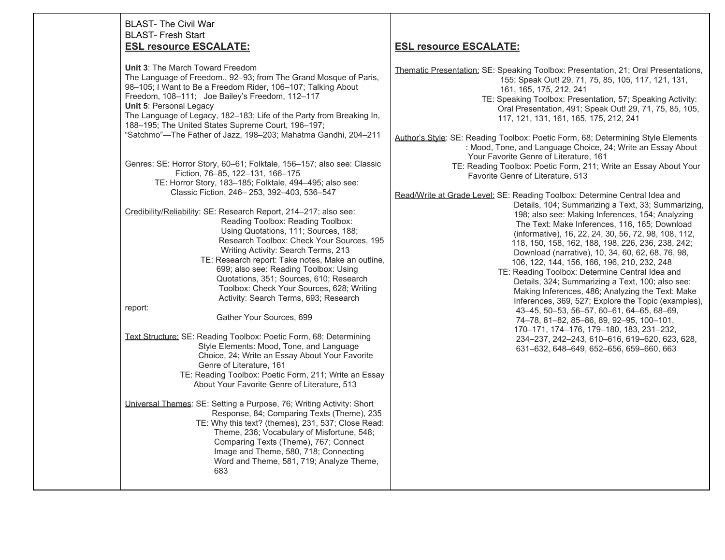#### BLAST- The Civil War BLAST- Fresh Start **ESL resource ESCALATE:**

**Unit 3**: The March Toward Freedom The Language of Freedom., 92–93; from The Grand Mosque of Paris, 98–105; I Want to Be a Freedom Rider, 106–107; Talking About Freedom, 108–111; Joe Bailey's Freedom, 112–117 **Unit 5**: Personal Legacy The Language of Legacy, 182–183; Life of the Party from Breaking In, 188–195; The United States Supreme Court, 196–197; "Satchmo"—The Father of Jazz, 198–203; Mahatma Gandhi, 204–211

Genres: SE: Horror Story, 60–61; Folktale, 156–157; also see: Classic Fiction, 76–85, 122–131, 166–175 TE: Horror Story, 183–185; Folktale, 494–495; also see: Classic Fiction, 246– 253, 392–403, 536–547

Credibility/Reliability: SE: Research Report, 214–217; also see: Reading Toolbox: Reading Toolbox: Using Quotations, 111; Sources, 188; Research Toolbox: Check Your Sources, 195 Writing Activity: Search Terms, 213

 TE: Research report: Take notes, Make an outline, 699; also see: Reading Toolbox: Using Quotations, 351; Sources, 610; Research Toolbox: Check Your Sources, 628; Writing Activity: Search Terms, 693; Research

report:

Gather Your Sources, 699

- Text Structure: SE: Reading Toolbox: Poetic Form, 68; Determining Style Elements: Mood, Tone, and Language Choice, 24; Write an Essay About Your Favorite Genre of Literature, 161
	- TE: Reading Toolbox: Poetic Form, 211; Write an Essay About Your Favorite Genre of Literature, 513

Universal Themes: SE: Setting a Purpose, 76; Writing Activity: Short Response, 84; Comparing Texts (Theme), 235 TE: Why this text? (themes), 231, 537; Close Read: Theme, 236; Vocabulary of Misfortune, 548; Comparing Texts (Theme), 767; Connect Image and Theme, 580, 718; Connecting Word and Theme, 581, 719; Analyze Theme, 683

### **ESL resource ESCALATE:**

Thematic Presentation: SE: Speaking Toolbox: Presentation, 21; Oral Presentations, 155; Speak Out! 29, 71, 75, 85, 105, 117, 121, 131, 161, 165, 175, 212, 241 TE: Speaking Toolbox: Presentation, 57; Speaking Activity: Oral Presentation, 491; Speak Out! 29, 71, 75, 85, 105, 117, 121, 131, 161, 165, 175, 212, 241 Author's Style: SE: Reading Toolbox: Poetic Form, 68; Determining Style Elements : Mood, Tone, and Language Choice, 24; Write an Essay About Your Favorite Genre of Literature, 161 TE: Reading Toolbox: Poetic Form, 211; Write an Essay About Your Favorite Genre of Literature, 513 Read/Write at Grade Level: SE: Reading Toolbox: Determine Central Idea and Details, 104; Summarizing a Text, 33; Summarizing, 198; also see: Making Inferences, 154; Analyzing The Text: Make Inferences, 116, 165; Download (informative), 16, 22, 24, 30, 56, 72, 98, 108, 112, 118, 150, 158, 162, 188, 198, 226, 236, 238, 242; Download (narrative), 10, 34, 60, 62, 68, 76, 98, 106, 122, 144, 156, 166, 196, 210, 232, 248 TE: Reading Toolbox: Determine Central Idea and Details, 324; Summarizing a Text, 100; also see: Making Inferences, 486; Analyzing the Text: Make Inferences, 369, 527; Explore the Topic (examples), 43–45, 50–53, 56–57, 60–61, 64–65, 68–69, 74–78, 81–82, 85–86, 89, 92–95, 100–101, 170–171, 174–176, 179–180, 183, 231–232, 234–237, 242–243, 610–616, 619–620, 623, 628, 631–632, 648–649, 652–656, 659–660, 663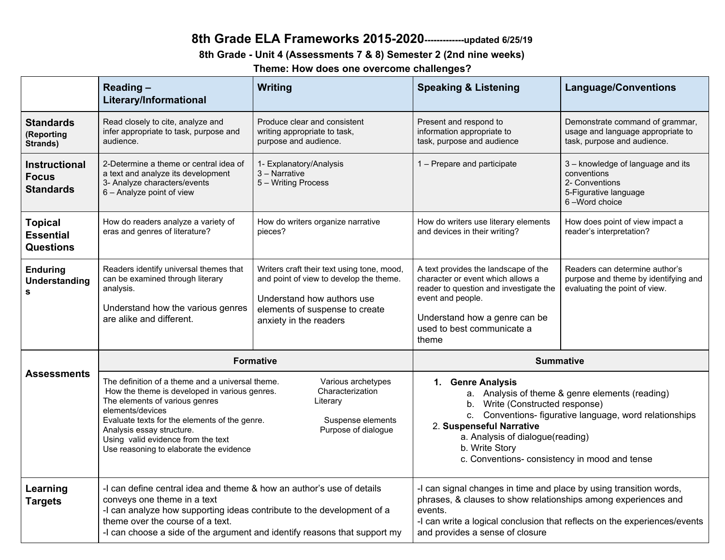## **8th Grade ELA Frameworks 2015-2020-------------updated 6/25/19**

### **8th Grade - Unit 4 (Assessments 7 & 8) Semester 2 (2nd nine weeks)**

**Theme: How does one overcome challenges?**

|                                                          | Reading-<br>Literary/Informational                                                                                                                                                                                                                                                                                                                                                                                       | <b>Writing</b>                                                                                                                                                                  | <b>Speaking &amp; Listening</b>                                                                                                                                                                                                                                                                      | <b>Language/Conventions</b>                                                                                  |
|----------------------------------------------------------|--------------------------------------------------------------------------------------------------------------------------------------------------------------------------------------------------------------------------------------------------------------------------------------------------------------------------------------------------------------------------------------------------------------------------|---------------------------------------------------------------------------------------------------------------------------------------------------------------------------------|------------------------------------------------------------------------------------------------------------------------------------------------------------------------------------------------------------------------------------------------------------------------------------------------------|--------------------------------------------------------------------------------------------------------------|
| <b>Standards</b><br>(Reporting<br>Strands)               | Read closely to cite, analyze and<br>infer appropriate to task, purpose and<br>audience.                                                                                                                                                                                                                                                                                                                                 | Produce clear and consistent<br>writing appropriate to task,<br>purpose and audience.                                                                                           | Present and respond to<br>information appropriate to<br>task, purpose and audience                                                                                                                                                                                                                   | Demonstrate command of grammar,<br>usage and language appropriate to<br>task, purpose and audience.          |
| <b>Instructional</b><br><b>Focus</b><br><b>Standards</b> | 2-Determine a theme or central idea of<br>a text and analyze its development<br>3- Analyze characters/events<br>6 - Analyze point of view                                                                                                                                                                                                                                                                                | 1- Explanatory/Analysis<br>3 - Narrative<br>5 - Writing Process                                                                                                                 | 1 - Prepare and participate                                                                                                                                                                                                                                                                          | 3 - knowledge of language and its<br>conventions<br>2- Conventions<br>5-Figurative language<br>6-Word choice |
| <b>Topical</b><br><b>Essential</b><br><b>Questions</b>   | How do readers analyze a variety of<br>eras and genres of literature?                                                                                                                                                                                                                                                                                                                                                    | How do writers organize narrative<br>pieces?                                                                                                                                    | How do writers use literary elements<br>and devices in their writing?                                                                                                                                                                                                                                | How does point of view impact a<br>reader's interpretation?                                                  |
| <b>Enduring</b><br><b>Understanding</b><br>s             | Readers identify universal themes that<br>can be examined through literary<br>analysis.<br>Understand how the various genres<br>are alike and different.                                                                                                                                                                                                                                                                 | Writers craft their text using tone, mood,<br>and point of view to develop the theme.<br>Understand how authors use<br>elements of suspense to create<br>anxiety in the readers | A text provides the landscape of the<br>character or event which allows a<br>reader to question and investigate the<br>event and people.<br>Understand how a genre can be<br>used to best communicate a<br>theme                                                                                     | Readers can determine author's<br>purpose and theme by identifying and<br>evaluating the point of view.      |
|                                                          | <b>Formative</b>                                                                                                                                                                                                                                                                                                                                                                                                         |                                                                                                                                                                                 | <b>Summative</b>                                                                                                                                                                                                                                                                                     |                                                                                                              |
| <b>Assessments</b>                                       | The definition of a theme and a universal theme.<br>Various archetypes<br>Characterization<br>How the theme is developed in various genres.<br>The elements of various genres<br>Literary<br>elements/devices<br>Evaluate texts for the elements of the genre.<br>Suspense elements<br>Purpose of dialogue<br>Analysis essay structure.<br>Using valid evidence from the text<br>Use reasoning to elaborate the evidence |                                                                                                                                                                                 | 1. Genre Analysis<br>a. Analysis of theme & genre elements (reading)<br>b. Write (Constructed response)<br>c. Conventions- figurative language, word relationships<br>2. Suspenseful Narrative<br>a. Analysis of dialogue(reading)<br>b. Write Story<br>c. Conventions-consistency in mood and tense |                                                                                                              |
| Learning<br><b>Targets</b>                               | -I can define central idea and theme & how an author's use of details<br>conveys one theme in a text<br>-I can analyze how supporting ideas contribute to the development of a<br>theme over the course of a text.<br>-I can choose a side of the argument and identify reasons that support my                                                                                                                          |                                                                                                                                                                                 | -I can signal changes in time and place by using transition words,<br>phrases, & clauses to show relationships among experiences and<br>events.<br>and provides a sense of closure                                                                                                                   | -I can write a logical conclusion that reflects on the experiences/events                                    |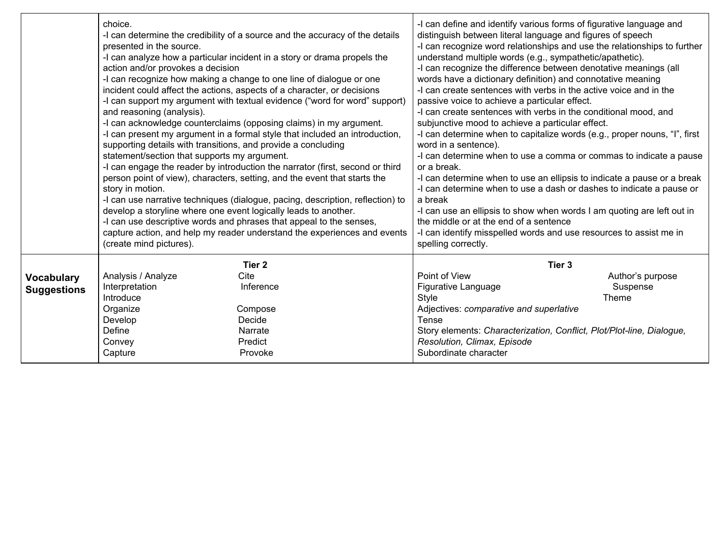|                           | choice.<br>presented in the source.<br>action and/or provokes a decision<br>and reasoning (analysis).<br>supporting details with transitions, and provide a concluding<br>statement/section that supports my argument.<br>story in motion.<br>develop a storyline where one event logically leads to another.<br>(create mind pictures). | -I can determine the credibility of a source and the accuracy of the details<br>-I can analyze how a particular incident in a story or drama propels the<br>-I can recognize how making a change to one line of dialogue or one<br>incident could affect the actions, aspects of a character, or decisions<br>-I can support my argument with textual evidence ("word for word" support)<br>-I can acknowledge counterclaims (opposing claims) in my argument.<br>-I can present my argument in a formal style that included an introduction,<br>-I can engage the reader by introduction the narrator (first, second or third<br>person point of view), characters, setting, and the event that starts the<br>-I can use narrative techniques (dialogue, pacing, description, reflection) to<br>-I can use descriptive words and phrases that appeal to the senses,<br>capture action, and help my reader understand the experiences and events | -I can define and identify various forms of figurative language and<br>distinguish between literal language and figures of speech<br>-I can recognize word relationships and use the relationships to further<br>understand multiple words (e.g., sympathetic/apathetic).<br>-I can recognize the difference between denotative meanings (all<br>words have a dictionary definition) and connotative meaning<br>-I can create sentences with verbs in the active voice and in the<br>passive voice to achieve a particular effect.<br>-I can create sentences with verbs in the conditional mood, and<br>subjunctive mood to achieve a particular effect.<br>-I can determine when to capitalize words (e.g., proper nouns, "I", first<br>word in a sentence).<br>-I can determine when to use a comma or commas to indicate a pause<br>or a break.<br>-I can determine when to use an ellipsis to indicate a pause or a break<br>-I can determine when to use a dash or dashes to indicate a pause or<br>a break<br>-I can use an ellipsis to show when words I am quoting are left out in<br>the middle or at the end of a sentence<br>-I can identify misspelled words and use resources to assist me in |                                       |
|---------------------------|------------------------------------------------------------------------------------------------------------------------------------------------------------------------------------------------------------------------------------------------------------------------------------------------------------------------------------------|--------------------------------------------------------------------------------------------------------------------------------------------------------------------------------------------------------------------------------------------------------------------------------------------------------------------------------------------------------------------------------------------------------------------------------------------------------------------------------------------------------------------------------------------------------------------------------------------------------------------------------------------------------------------------------------------------------------------------------------------------------------------------------------------------------------------------------------------------------------------------------------------------------------------------------------------------|-------------------------------------------------------------------------------------------------------------------------------------------------------------------------------------------------------------------------------------------------------------------------------------------------------------------------------------------------------------------------------------------------------------------------------------------------------------------------------------------------------------------------------------------------------------------------------------------------------------------------------------------------------------------------------------------------------------------------------------------------------------------------------------------------------------------------------------------------------------------------------------------------------------------------------------------------------------------------------------------------------------------------------------------------------------------------------------------------------------------------------------------------------------------------------------------------------------|---------------------------------------|
| Vocabulary<br>Suggestions | Analysis / Analyze<br>Interpretation<br>Introduce<br>Organize<br>Develop<br>Define<br>Convey<br>Capture                                                                                                                                                                                                                                  | Tier <sub>2</sub><br>Cite<br>Inference<br>Compose<br>Decide<br>Narrate<br>Predict<br>Provoke                                                                                                                                                                                                                                                                                                                                                                                                                                                                                                                                                                                                                                                                                                                                                                                                                                                     | Tier <sub>3</sub><br>Point of View<br>Figurative Language<br><b>Style</b><br>Adjectives: comparative and superlative<br><b>Tense</b><br>Story elements: Characterization, Conflict, Plot/Plot-line, Dialogue,<br>Resolution, Climax, Episode<br>Subordinate character                                                                                                                                                                                                                                                                                                                                                                                                                                                                                                                                                                                                                                                                                                                                                                                                                                                                                                                                       | Author's purpose<br>Suspense<br>Theme |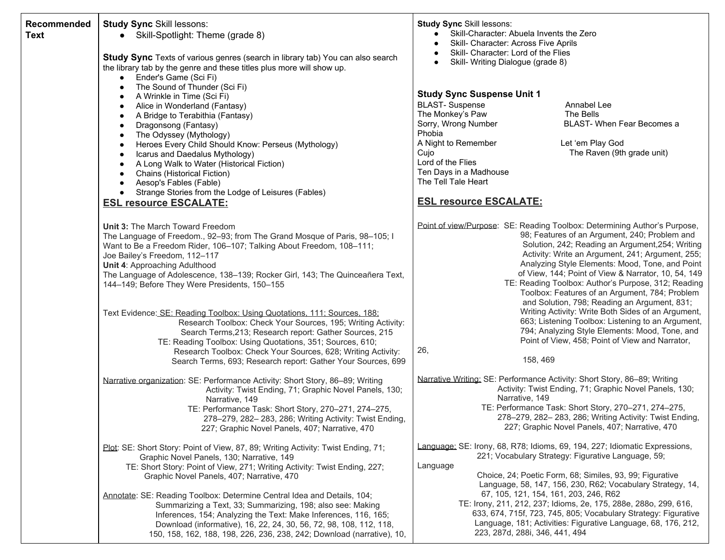| Recommended<br><b>Text</b> | <b>Study Sync Skill lessons:</b><br>• Skill-Spotlight: Theme (grade 8)<br>Study Sync Texts of various genres (search in library tab) You can also search<br>the library tab by the genre and these titles plus more will show up.<br>Ender's Game (Sci Fi)<br>$\bullet$                                                                                                                                                                                                                                                                                                                                                                                                                                                                                                                        | <b>Study Sync Skill lessons:</b><br>Skill-Character: Abuela Invents the Zero<br>$\bullet$<br>Skill- Character: Across Five Aprils<br>Skill- Character: Lord of the Flies<br>Skill- Writing Dialogue (grade 8)                                                                                                                                                                                                                                                                                                                                                                                                                                                                                                                            |
|----------------------------|------------------------------------------------------------------------------------------------------------------------------------------------------------------------------------------------------------------------------------------------------------------------------------------------------------------------------------------------------------------------------------------------------------------------------------------------------------------------------------------------------------------------------------------------------------------------------------------------------------------------------------------------------------------------------------------------------------------------------------------------------------------------------------------------|------------------------------------------------------------------------------------------------------------------------------------------------------------------------------------------------------------------------------------------------------------------------------------------------------------------------------------------------------------------------------------------------------------------------------------------------------------------------------------------------------------------------------------------------------------------------------------------------------------------------------------------------------------------------------------------------------------------------------------------|
|                            | The Sound of Thunder (Sci Fi)<br>$\bullet$<br>A Wrinkle in Time (Sci Fi)<br>٠<br>Alice in Wonderland (Fantasy)<br>٠<br>A Bridge to Terabithia (Fantasy)<br>$\bullet$<br>Dragonsong (Fantasy)<br>$\bullet$<br>The Odyssey (Mythology)<br>$\bullet$<br>Heroes Every Child Should Know: Perseus (Mythology)<br>$\bullet$<br>Icarus and Daedalus Mythology)<br>$\bullet$<br>A Long Walk to Water (Historical Fiction)<br>$\bullet$<br>Chains (Historical Fiction)<br>$\bullet$<br>Aesop's Fables (Fable)<br>$\bullet$<br>Strange Stories from the Lodge of Leisures (Fables)<br>$\bullet$<br><b>ESL resource ESCALATE:</b>                                                                                                                                                                         | <b>Study Sync Suspense Unit 1</b><br><b>BLAST-Suspense</b><br>Annabel Lee<br>The Monkey's Paw<br>The Bells<br>Sorry, Wrong Number<br>BLAST- When Fear Becomes a<br>Phobia<br>Let 'em Play God<br>A Night to Remember<br>The Raven (9th grade unit)<br>Cujo<br>Lord of the Flies<br>Ten Days in a Madhouse<br>The Tell Tale Heart<br><b>ESL resource ESCALATE:</b>                                                                                                                                                                                                                                                                                                                                                                        |
|                            | Unit 3: The March Toward Freedom<br>The Language of Freedom., 92-93; from The Grand Mosque of Paris, 98-105; I<br>Want to Be a Freedom Rider, 106-107; Talking About Freedom, 108-111;<br>Joe Bailey's Freedom, 112-117<br>Unit 4: Approaching Adulthood<br>The Language of Adolescence, 138-139; Rocker Girl, 143; The Quinceañera Text,<br>144–149; Before They Were Presidents, 150–155<br>Text Evidence: SE: Reading Toolbox: Using Quotations, 111; Sources, 188;<br>Research Toolbox: Check Your Sources, 195; Writing Activity:<br>Search Terms, 213; Research report: Gather Sources, 215<br>TE: Reading Toolbox: Using Quotations, 351; Sources, 610;<br>Research Toolbox: Check Your Sources, 628; Writing Activity:<br>Search Terms, 693; Research report: Gather Your Sources, 699 | Point of view/Purpose: SE: Reading Toolbox: Determining Author's Purpose,<br>98; Features of an Argument, 240; Problem and<br>Solution, 242; Reading an Argument, 254; Writing<br>Activity: Write an Argument, 241; Argument, 255;<br>Analyzing Style Elements: Mood, Tone, and Point<br>of View, 144; Point of View & Narrator, 10, 54, 149<br>TE: Reading Toolbox: Author's Purpose, 312; Reading<br>Toolbox: Features of an Argument, 784; Problem<br>and Solution, 798; Reading an Argument, 831;<br>Writing Activity: Write Both Sides of an Argument,<br>663; Listening Toolbox: Listening to an Argument,<br>794; Analyzing Style Elements: Mood, Tone, and<br>Point of View, 458; Point of View and Narrator,<br>26,<br>158, 469 |
|                            | Narrative organization: SE: Performance Activity: Short Story, 86-89; Writing<br>Activity: Twist Ending, 71; Graphic Novel Panels, 130;<br>Narrative, 149<br>TE: Performance Task: Short Story, 270-271, 274-275,<br>278-279, 282-283, 286; Writing Activity: Twist Ending,<br>227; Graphic Novel Panels, 407; Narrative, 470                                                                                                                                                                                                                                                                                                                                                                                                                                                                  | Narrative Writing: SE: Performance Activity: Short Story, 86-89; Writing<br>Activity: Twist Ending, 71; Graphic Novel Panels, 130;<br>Narrative, 149<br>TE: Performance Task: Short Story, 270-271, 274-275,<br>278-279, 282-283, 286; Writing Activity: Twist Ending,<br>227; Graphic Novel Panels, 407; Narrative, 470                                                                                                                                                                                                                                                                                                                                                                                                                 |
|                            | Plot: SE: Short Story: Point of View, 87, 89; Writing Activity: Twist Ending, 71;<br>Graphic Novel Panels, 130; Narrative, 149<br>TE: Short Story: Point of View, 271; Writing Activity: Twist Ending, 227;<br>Graphic Novel Panels, 407; Narrative, 470<br>Annotate: SE: Reading Toolbox: Determine Central Idea and Details, 104;<br>Summarizing a Text, 33; Summarizing, 198; also see: Making<br>Inferences, 154; Analyzing the Text: Make Inferences, 116, 165;<br>Download (informative), 16, 22, 24, 30, 56, 72, 98, 108, 112, 118,<br>150, 158, 162, 188, 198, 226, 236, 238, 242; Download (narrative), 10,                                                                                                                                                                           | Language: SE: Irony, 68, R78; Idioms, 69, 194, 227; Idiomatic Expressions,<br>221; Vocabulary Strategy: Figurative Language, 59;<br>Language<br>Choice, 24; Poetic Form, 68; Similes, 93, 99; Figurative<br>Language, 58, 147, 156, 230, R62; Vocabulary Strategy, 14,<br>67, 105, 121, 154, 161, 203, 246, R62<br>TE: Irony, 211, 212, 237; Idioms, 2e, 175, 288e, 288o, 299, 616,<br>633, 674, 715f, 723, 745, 805; Vocabulary Strategy: Figurative<br>Language, 181; Activities: Figurative Language, 68, 176, 212,<br>223, 287d, 288i, 346, 441, 494                                                                                                                                                                                 |